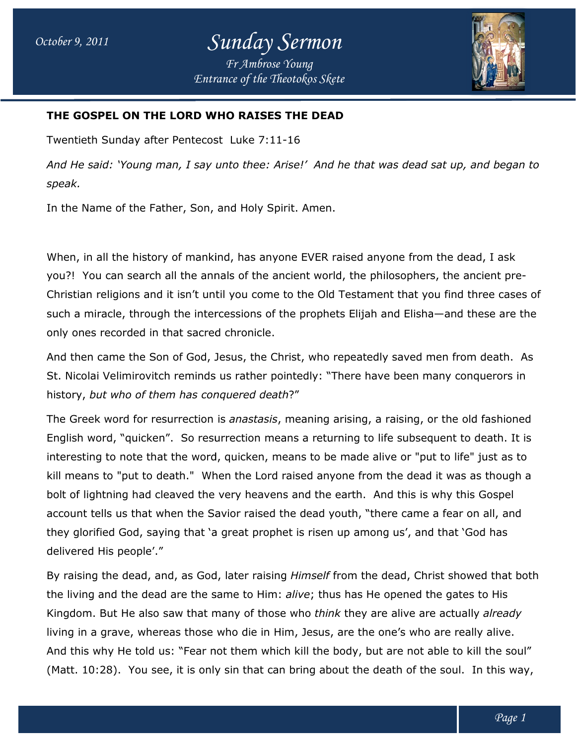*Entrance of the Theotokos Skete*



## **THE GOSPEL ON THE LORD WHO RAISES THE DEAD THE DEAD**

Twentieth Sunday after Pentecost Pentecost Luke 7:11-16

And He said: 'Young man, I say unto thee: Arise!' And he that was dead sat up, and began to *speak.*

In the Name of the Father, Son, and Holy Spirit. Amen.

When, in all the history of mankind, has anyone EVER raised anyone from the dead, I ask you?! You can search all the annals of the ancient world, the philosophers, the ancient pre-Christian religions and it isn't until you come to the Old Testament that you find three cases of such a miracle, through the intercessions of the prophets Elijah and Elisha Elisha—and these are the only ones recorded in that sacred chronicle. Name of the Father, Son, and Holy Spirit. Amen.<br>in all the history of mankind, has anyone EVER raised anyone from the dead, I ask<br>You can search all the annals of the ancient world, the philosophers, the ancient pre-<br>in re

only ones recorded in that sacred chronicle.<br>And then came the Son of God, Jesus, the Christ, who repeatedly saved men from death. As St. Nicolai Velimirovitch reminds us rather pointedly: "There have been many conquerors in<br>history, *but who of them has conquered death*?" history, *but who of them has conquered death*

The Greek word for resurrection is *anastasis*, meaning arising, a raising, or the old fashioned English word, "quicken". So resurrection means a returning to life subsequent to death. It is interesting to note that the word, quicken, means to be made alive or "put to life" just as to English word, "quicken". So resurrection means a returning to life subsequent to death. It is<br>interesting to note that the word, quicken, means to be made alive or "put to life" just as to<br>kill means to "put to death." Whe bolt of lightning had cleaved the very heavens and the earth. And this is why this Gospel account tells us that when the Savior raised the dead youth, "there came a fear on all, and they glorified God, saying that 'a great prophet is risen up among us', and that 'God has delivered His people'." bolt of lightning had cleaved the very heavens and the earth. And this is why this Gospel<br>account tells us that when the Savior raised the dead youth, "there came a fear on all, and<br>they glorified God, saying that 'a great is, the Christ, who repeatedly saved men from death. As<br>rather pointedly: "There have been many conquerors in<br>*ered death*?"<br>*nastasis*, meaning arising, a raising, or the old fashioned<br>ction means a returning to life subs

the living and the dead are the same to Him: *alive*; thus has He opened the gates to His Kingdom. But He also saw that many of those who *think* they are alive are actually living in a grave, whereas those who die in Him, Jesus, are the one's who are really alive. living in a grave, whereas those who die in Him, Jesus, are the one's who are really alive.<br>And this why He told us: "Fear not them which kill the body, but are not able to kill the soul" (Matt.  $10:28$ ). You see, it is only sin that can bring about the death of the soul. In this way,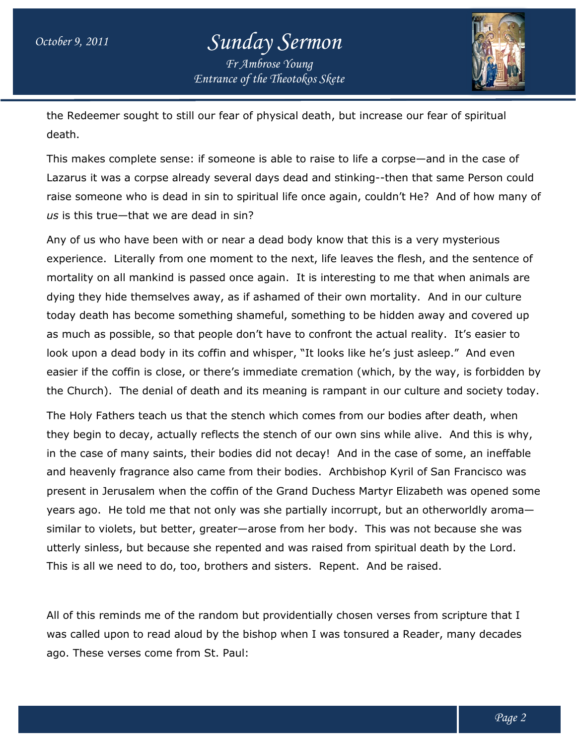## *October 9, 2011 Sunday Sermon Fr Ambrose Young*



*Entrance of the Theotokos Skete*

the Redeemer sought to still our fear of physical death, but increase our fear of spiritual death. the Redeemer sought to still our fear of physical death, but increase our fear of spiritual<br>death.<br>This makes complete sense: if someone is able to raise to life a corpse—and in the case of

Lazarus it was a corpse already several days dead and stinking--then that same Person could This makes complete sense: if someone is able to raise to life a corpse—and in the case of<br>Lazarus it was a corpse already several days dead and stinking--then that same Person could<br>raise someone who is dead in sin to spi *us* is this true—that we are dead in sin?

Any of us who have been with or near a dead body know that this is a very mysterious experience. Literally from one moment to the next, life leaves the flesh, and the sentence of mortality on all mankind is passed once again. It is interesting to me that when animals are dying they hide themselves away, as if ashamed of their own mortality. And in our culture today death has become something shameful, something to be hidden away and covered up as much as possible, so that people don't have to confront the actual reality. It's easier to look upon a dead body in its coffin and whisper, "It looks like he's just asleep." And even easier if the coffin is close, or there's immediate cremation (which, by the way, is forbidden by the Church). The denial of death and its meaning is rampant in our culture and society today. raise someone who is dead in sin to spiritual life once again, couldn't He? And of how many<br>us is this true—that we are dead in sin?<br>Any of us who have been with or near a dead body know that this is a very mysterious<br>expe today death has become something shameful, something to be hidden away and covered เ<br>as much as possible, so that people don't have to confront the actual reality. It's easier to<br>look upon a dead body in its coffin and whi

The Holy Fathers teach us that the stench which comes from our bodies after death, when the Church). The denial of death and its meaning is rampant in our culture and society today<br>The Holy Fathers teach us that the stench which comes from our bodies after death, when<br>they begin to decay, actually reflects th in the case of many saints, their bodies did not decay! And in the case of some, an ineffable and heavenly fragrance also came from their bodies. Archbishop Kyril of San Francisco was present in Jerusalem when the coffin of the Grand Duchess Martyr Elizabeth was opened some years ago. He told me that not only was she partially incorrupt, but an otherworldly aroma similar to violets, but better, greater—arose from her body. This was not because she was utterly sinless, but because she repented and was raised from spiritual death by the Lord. This is all we need to do, too, brothers and sisters. Repent. And be raised. utterly sinless, but because she repented and was raised from spiritual death by the Lord.<br>This is all we need to do, too, brothers and sisters. Repent. And be raised.<br>All of this reminds me of the random but providentiall heavenly fragrance also came from their bodies. Archbishop Kyril of San Francisco wa<br>ent in Jerusalem when the coffin of the Grand Duchess Martyr Elizabeth was opened s<br>s ago. He told me that not only was she partially inc emation (which, by the way, is forbidden b<br>s rampant in our culture and society today<br>mes from our bodies after death, when<br>our own sins while alive. And this is why,<br>ay! And in the case of some, an ineffable<br>s. Archbishop

was called upon to read aloud by the bishop when I was tonsured a Reader, many decades ago. These verses come from St. Paul: